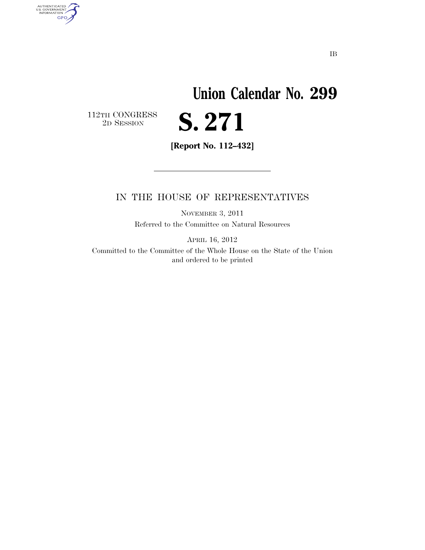## **Union Calendar No. 299**  S. 271

 $\begin{array}{c} \textbf{112TH CONGRESS} \\ \textbf{2D} \textbf{SESSION} \end{array}$ 

AUTHENTICATED<br>U.S. GOVERNMENT<br>INFORMATION

**GPO** 

**[Report No. 112–432]** 

## IN THE HOUSE OF REPRESENTATIVES

NOVEMBER 3, 2011 Referred to the Committee on Natural Resources

APRIL 16, 2012

Committed to the Committee of the Whole House on the State of the Union and ordered to be printed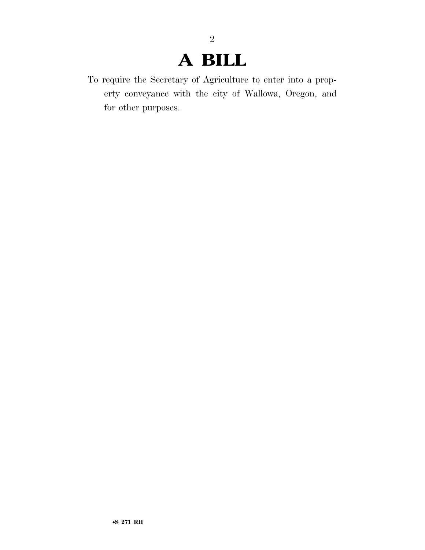## **A BILL**

2

To require the Secretary of Agriculture to enter into a property conveyance with the city of Wallowa, Oregon, and for other purposes.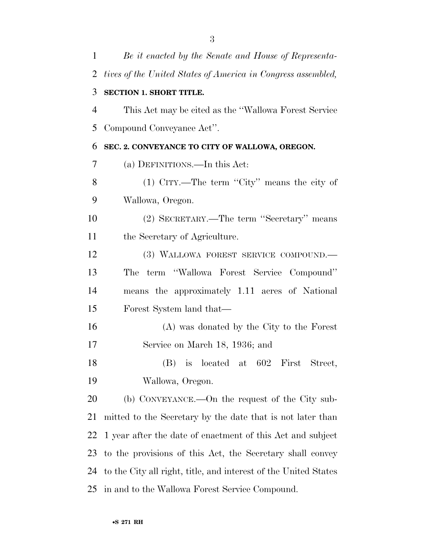| 1              | Be it enacted by the Senate and House of Representa-            |
|----------------|-----------------------------------------------------------------|
| $\overline{2}$ | tives of the United States of America in Congress assembled,    |
| 3              | <b>SECTION 1. SHORT TITLE.</b>                                  |
| 4              | This Act may be cited as the "Wallowa Forest Service"           |
| 5              | Compound Conveyance Act".                                       |
| 6              | SEC. 2. CONVEYANCE TO CITY OF WALLOWA, OREGON.                  |
| 7              | (a) DEFINITIONS.—In this Act:                                   |
| 8              | (1) CITY.—The term "City" means the city of                     |
| 9              | Wallowa, Oregon.                                                |
| 10             | (2) SECRETARY.—The term "Secretary" means                       |
| 11             | the Secretary of Agriculture.                                   |
| 12             | (3) WALLOWA FOREST SERVICE COMPOUND.                            |
| 13             | term "Wallowa Forest Service Compound"<br>The                   |
| 14             | means the approximately 1.11 acres of National                  |
| 15             | Forest System land that—                                        |
| 16             | (A) was donated by the City to the Forest                       |
| 17             | Service on March 18, 1936; and                                  |
| 18             | (B) is located at 602 First Street,                             |
| 19             | Wallowa, Oregon.                                                |
| 20             | (b) CONVEYANCE.—On the request of the City sub-                 |
| 21             | mitted to the Secretary by the date that is not later than      |
| 22             | 1 year after the date of enactment of this Act and subject      |
| 23             | to the provisions of this Act, the Secretary shall convey       |
| 24             | to the City all right, title, and interest of the United States |
| 25             | in and to the Wallowa Forest Service Compound.                  |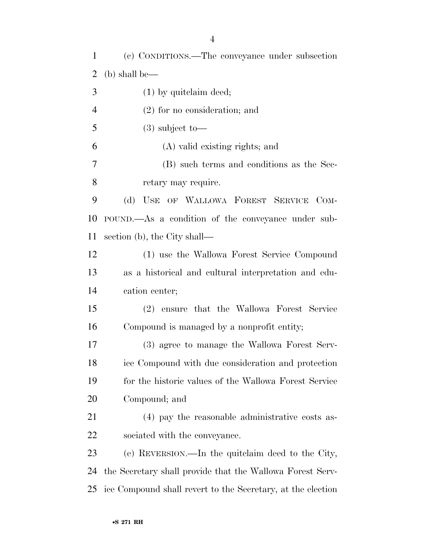(c) CONDITIONS.—The conveyance under subsection (b) shall be— (1) by quitclaim deed; (2) for no consideration; and 5 (3) subject to  $\overline{\phantom{a}}$  (A) valid existing rights; and (B) such terms and conditions as the Sec- retary may require. (d) USE OF WALLOWA FOREST SERVICE COM- POUND.—As a condition of the conveyance under sub- section (b), the City shall— (1) use the Wallowa Forest Service Compound as a historical and cultural interpretation and edu- cation center; (2) ensure that the Wallowa Forest Service Compound is managed by a nonprofit entity; (3) agree to manage the Wallowa Forest Serv- ice Compound with due consideration and protection for the historic values of the Wallowa Forest Service Compound; and (4) pay the reasonable administrative costs as- sociated with the conveyance. (e) REVERSION.—In the quitclaim deed to the City, the Secretary shall provide that the Wallowa Forest Serv-ice Compound shall revert to the Secretary, at the election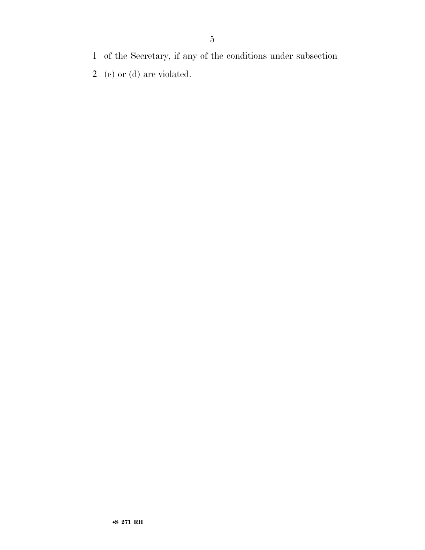- of the Secretary, if any of the conditions under subsection
- (c) or (d) are violated.